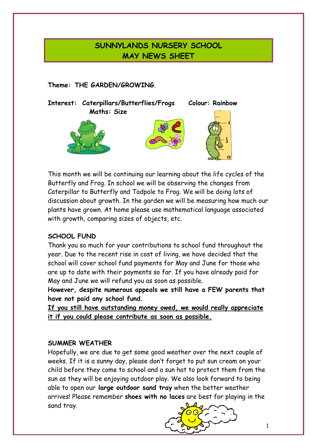## **SUNNYLANDS NURSERY SCHOOL MAY NEWS SHEET**

## **Theme: THE GARDEN/GROWING**.



This month we will be continuing our learning about the life cycles of the Butterfly and Frog. In school we will be observing the changes from Caterpillar to Butterfly and Tadpole to Frog. We will be doing lots of discussion about growth. In the garden we will be measuring how much our plants have grown. At home please use mathematical language associated with growth, comparing sizes of objects, etc.

## **SCHOOL FUND**

Thank you so much for your contributions to school fund throughout the year. Due to the recent rise in cost of living, we have decided that the school will cover school fund payments for May and June for those who are up to date with their payments so far. If you have already paid for May and June we will refund you as soon as possible.

**However, despite numerous appeals we still have a FEW parents that have not paid any school fund.** 

**If you still have outstanding money owed, we would really appreciate it if you could please contribute as soon as possible.**

#### **SUMMER WEATHER**

Hopefully, we are due to get some good weather over the next couple of weeks. If it is a sunny day, please don't forget to put sun cream on your child before they come to school and a sun hat to protect them from the sun as they will be enjoying outdoor play. We also look forward to being able to open our **large outdoor sand tray** when the better weather arrives! Please remember **shoes with no laces** are best for playing in the sand tray.

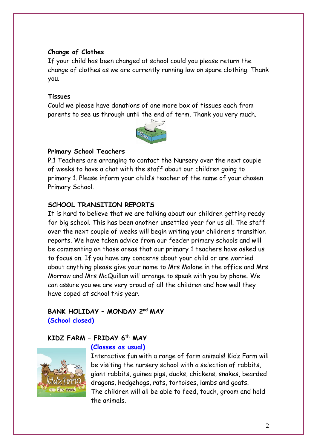#### **Change of Clothes**

If your child has been changed at school could you please return the change of clothes as we are currently running low on spare clothing. Thank you.

### **Tissues**

Could we please have donations of one more box of tissues each from parents to see us through until the end of term. Thank you very much.



### **Primary School Teachers**

P.1 Teachers are arranging to contact the Nursery over the next couple of weeks to have a chat with the staff about our children going to primary 1. Please inform your child's teacher of the name of your chosen Primary School.

## **SCHOOL TRANSITION REPORTS**

It is hard to believe that we are talking about our children getting ready for big school. This has been another unsettled year for us all. The staff over the next couple of weeks will begin writing your children's transition reports. We have taken advice from our feeder primary schools and will be commenting on those areas that our primary 1 teachers have asked us to focus on. If you have any concerns about your child or are worried about anything please give your name to Mrs Malone in the office and Mrs Morrow and Mrs McQuillan will arrange to speak with you by phone. We can assure you we are very proud of all the children and how well they have coped at school this year.

## **BANK HOLIDAY – MONDAY 2nd MAY (School closed)**

#### **KIDZ FARM – FRIDAY 6th MAY**



#### **(Classes as usual)**

Interactive fun with a range of farm animals! Kidz Farm will be visiting the nursery school with a selection of rabbits, giant rabbits, guinea pigs, ducks, chickens, snakes, bearded dragons, hedgehogs, rats, tortoises, lambs and goats. The children will all be able to feed, touch, groom and hold the animals.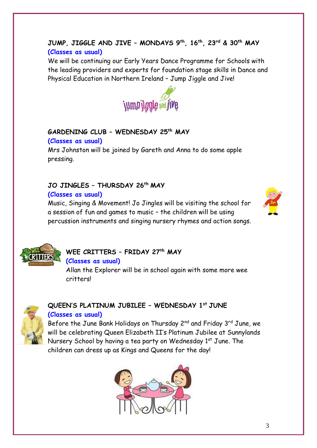## **JUMP, JIGGLE AND JIVE – MONDAYS 9th, 16 th , 23 rd & 30th MAY (Classes as usual)**

We will be continuing our Early Years Dance Programme for Schools with the leading providers and experts for foundation stage skills in Dance and Physical Education in Northern Ireland – Jump Jiggle and Jive!



#### **GARDENING CLUB – WEDNESDAY 25th MAY (Classes as usual)**

Mrs Johnston will be joined by Gareth and Anna to do some apple pressing.

## **JO JINGLES – THURSDAY 26th MAY**

### **(Classes as usual)**

Music, Singing & Movement! Jo Jingles will be visiting the school for a session of fun and games to music – the children will be using percussion instruments and singing nursery rhymes and action songs.





# **WEE CRITTERS – FRIDAY 27th MAY**

**(Classes as usual)**

Allan the Explorer will be in school again with some more wee critters!



## **QUEEN'S PLATINUM JUBILEE – WEDNESDAY 1st JUNE (Classes as usual)**

Before the June Bank Holidays on Thursday 2<sup>nd</sup> and Friday 3<sup>rd</sup> June, we will be celebrating Queen Elizabeth II's Platinum Jubilee at Sunnylands Nursery School by having a tea party on Wednesday 1<sup>st</sup> June. The children can dress up as Kings and Queens for the day!